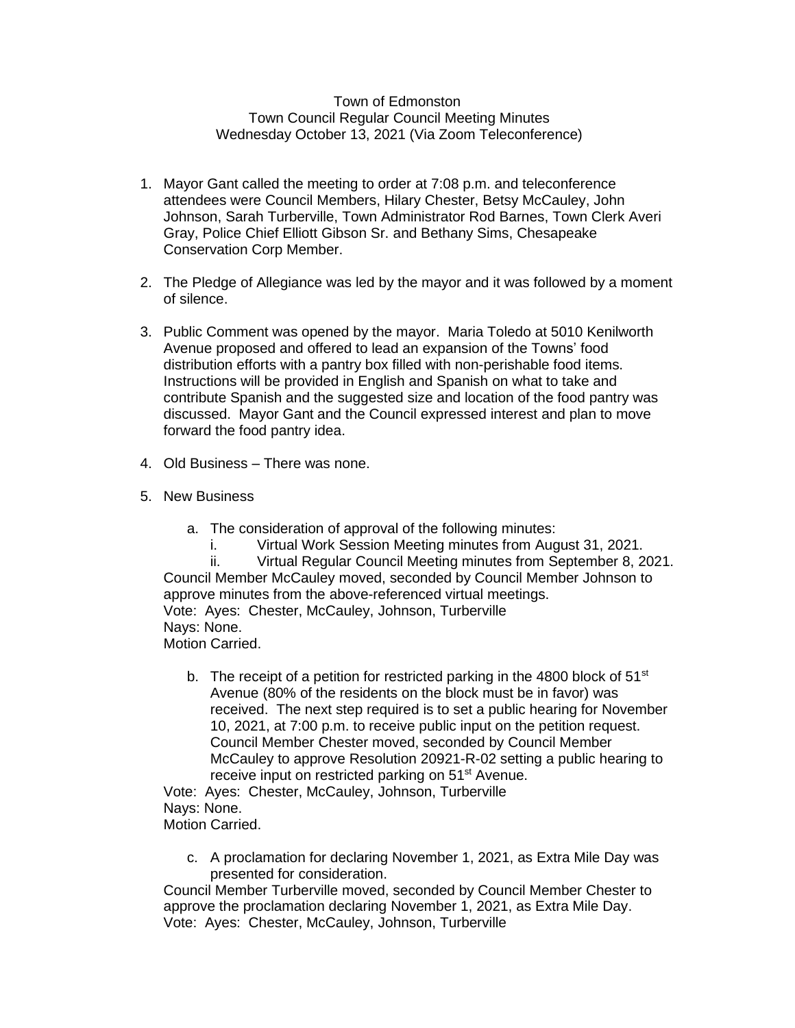## Town of Edmonston Town Council Regular Council Meeting Minutes Wednesday October 13, 2021 (Via Zoom Teleconference)

- 1. Mayor Gant called the meeting to order at 7:08 p.m. and teleconference attendees were Council Members, Hilary Chester, Betsy McCauley, John Johnson, Sarah Turberville, Town Administrator Rod Barnes, Town Clerk Averi Gray, Police Chief Elliott Gibson Sr. and Bethany Sims, Chesapeake Conservation Corp Member.
- 2. The Pledge of Allegiance was led by the mayor and it was followed by a moment of silence.
- 3. Public Comment was opened by the mayor. Maria Toledo at 5010 Kenilworth Avenue proposed and offered to lead an expansion of the Towns' food distribution efforts with a pantry box filled with non-perishable food items. Instructions will be provided in English and Spanish on what to take and contribute Spanish and the suggested size and location of the food pantry was discussed. Mayor Gant and the Council expressed interest and plan to move forward the food pantry idea.
- 4. Old Business There was none.
- 5. New Business
	- a. The consideration of approval of the following minutes:
		- i. Virtual Work Session Meeting minutes from August 31, 2021.

ii. Virtual Regular Council Meeting minutes from September 8, 2021. Council Member McCauley moved, seconded by Council Member Johnson to approve minutes from the above-referenced virtual meetings. Vote: Ayes: Chester, McCauley, Johnson, Turberville Nays: None. Motion Carried.

b. The receipt of a petition for restricted parking in the 4800 block of  $51<sup>st</sup>$ Avenue (80% of the residents on the block must be in favor) was received. The next step required is to set a public hearing for November 10, 2021, at 7:00 p.m. to receive public input on the petition request. Council Member Chester moved, seconded by Council Member McCauley to approve Resolution 20921-R-02 setting a public hearing to receive input on restricted parking on 51<sup>st</sup> Avenue.

Vote: Ayes: Chester, McCauley, Johnson, Turberville Nays: None. Motion Carried.

c. A proclamation for declaring November 1, 2021, as Extra Mile Day was presented for consideration.

Council Member Turberville moved, seconded by Council Member Chester to approve the proclamation declaring November 1, 2021, as Extra Mile Day. Vote: Ayes: Chester, McCauley, Johnson, Turberville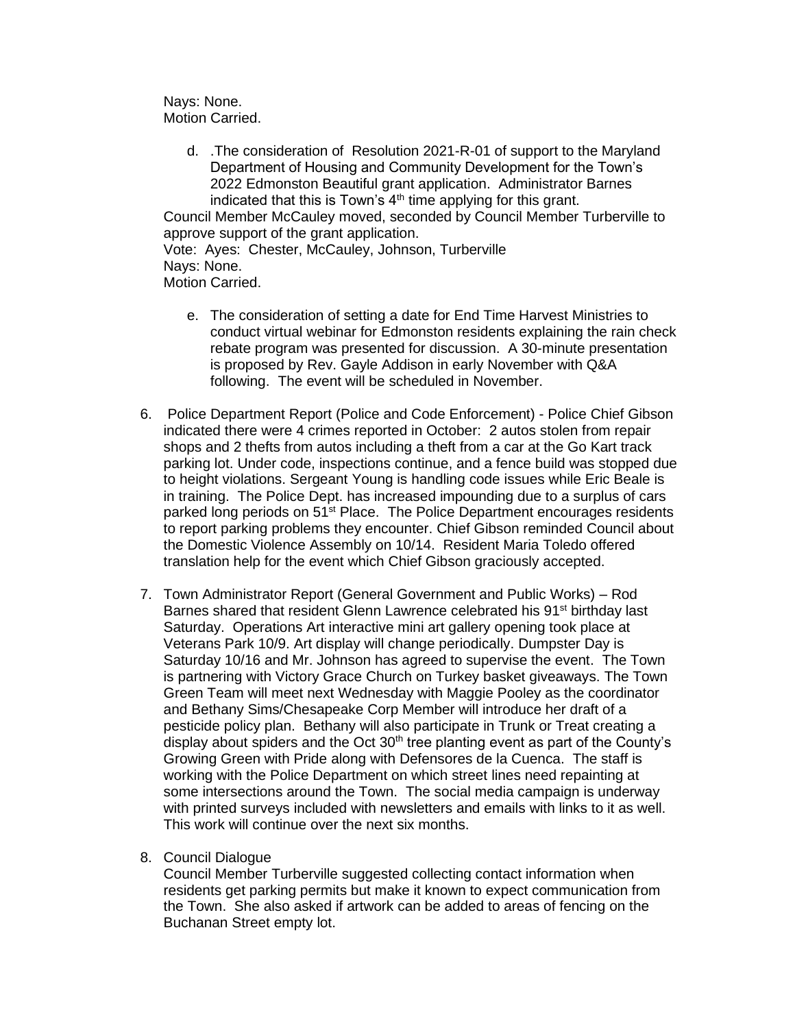Nays: None. Motion Carried.

d. .The consideration of Resolution 2021-R-01 of support to the Maryland Department of Housing and Community Development for the Town's 2022 Edmonston Beautiful grant application. Administrator Barnes indicated that this is Town's  $4<sup>th</sup>$  time applying for this grant. Council Member McCauley moved, seconded by Council Member Turberville to

approve support of the grant application.

Vote: Ayes: Chester, McCauley, Johnson, Turberville Nays: None.

- Motion Carried.
	- e. The consideration of setting a date for End Time Harvest Ministries to conduct virtual webinar for Edmonston residents explaining the rain check rebate program was presented for discussion. A 30-minute presentation is proposed by Rev. Gayle Addison in early November with Q&A following. The event will be scheduled in November.
- 6. Police Department Report (Police and Code Enforcement) Police Chief Gibson indicated there were 4 crimes reported in October: 2 autos stolen from repair shops and 2 thefts from autos including a theft from a car at the Go Kart track parking lot. Under code, inspections continue, and a fence build was stopped due to height violations. Sergeant Young is handling code issues while Eric Beale is in training. The Police Dept. has increased impounding due to a surplus of cars parked long periods on 51<sup>st</sup> Place. The Police Department encourages residents to report parking problems they encounter. Chief Gibson reminded Council about the Domestic Violence Assembly on 10/14. Resident Maria Toledo offered translation help for the event which Chief Gibson graciously accepted.
- 7. Town Administrator Report (General Government and Public Works) Rod Barnes shared that resident Glenn Lawrence celebrated his 91<sup>st</sup> birthday last Saturday. Operations Art interactive mini art gallery opening took place at Veterans Park 10/9. Art display will change periodically. Dumpster Day is Saturday 10/16 and Mr. Johnson has agreed to supervise the event. The Town is partnering with Victory Grace Church on Turkey basket giveaways. The Town Green Team will meet next Wednesday with Maggie Pooley as the coordinator and Bethany Sims/Chesapeake Corp Member will introduce her draft of a pesticide policy plan. Bethany will also participate in Trunk or Treat creating a display about spiders and the Oct  $30<sup>th</sup>$  tree planting event as part of the County's Growing Green with Pride along with Defensores de la Cuenca. The staff is working with the Police Department on which street lines need repainting at some intersections around the Town. The social media campaign is underway with printed surveys included with newsletters and emails with links to it as well. This work will continue over the next six months.
- 8. Council Dialogue

Council Member Turberville suggested collecting contact information when residents get parking permits but make it known to expect communication from the Town. She also asked if artwork can be added to areas of fencing on the Buchanan Street empty lot.